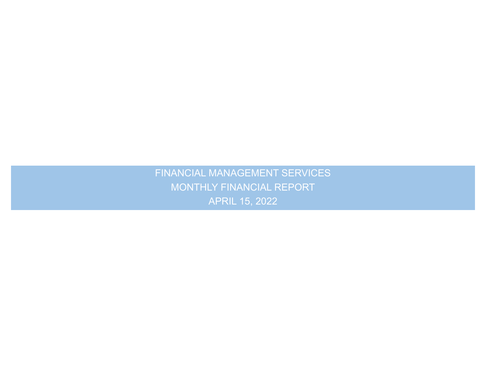.<br>N FINANCIAL MANAGEMENT SERVICES MONTHLY FINANCIAL REPORT APRIL 15, 2022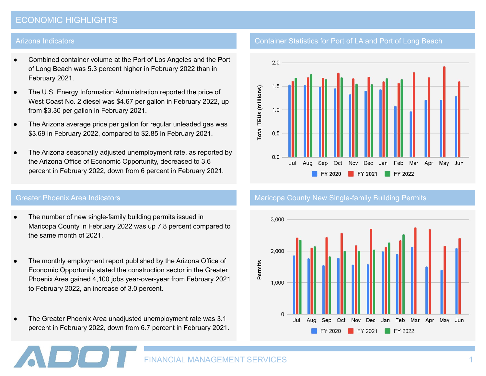# ECONOMIC HIGHLIGHTS

#### Arizona Indicators

- Combined container volume at the Port of Los Angeles and the Port of Long Beach was 5.3 percent higher in February 2022 than in February 2021.
- The U.S. Energy Information Administration reported the price of West Coast No. 2 diesel was \$4.67 per gallon in February 2022, up from \$3.30 per gallon in February 2021.
- The Arizona average price per gallon for regular unleaded gas was \$3.69 in February 2022, compared to \$2.85 in February 2021.
- The Arizona seasonally adjusted unemployment rate, as reported by the Arizona Office of Economic Opportunity, decreased to 3.6 percent in February 2022, down from 6 percent in February 2021.

- The number of new single-family building permits issued in Maricopa County in February 2022 was up 7.8 percent compared to the same month of 2021.
- The monthly employment report published by the Arizona Office of Economic Opportunity stated the construction sector in the Greater Phoenix Area gained 4,100 jobs year-over-year from February 2021 to February 2022, an increase of 3.0 percent.
- The Greater Phoenix Area unadjusted unemployment rate was 3.1 percent in February 2022, down from 6.7 percent in February 2021.

# Container Statistics for Port of LA and Port of Long Beach



#### Greater Phoenix Area Indicators Maria County Maricopa County New Single-family Building Permits



FINANCIAL MANAGEMENT SERVICES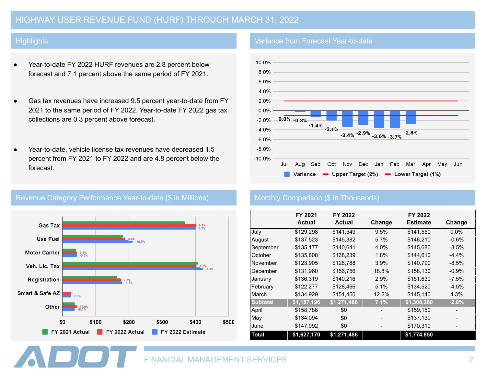# HIGHWAY USER REVENUE FUND (HURF) THROUGH MARCH 31, 2022

### **Highlights**

- Year-to-date FY 2022 HURF revenues are 2.8 percent below forecast and 7.1 percent above the same period of FY 2021.
- Gas tax revenues have increased 9.5 percent year-to-date from FY 2021 to the same period of FY 2022. Year-to-date FY 2022 gas tax collections are 0.3 percent above forecast.
- Year-to-date, vehicle license tax revenues have decreased 1.5 percent from FY 2021 to FY 2022 and are 4.8 percent below the forecast.



## Revenue Category Performance Year-to-date (\$ in Millions) Monthly Comparison (\$ in Thousands)

### Variance from Forecast Year-to-date



|                 | FY 2021<br><b>Actual</b> | FY 2022<br><b>Actual</b> | <b>Change</b> | FY 2022<br><b>Estimate</b> | <b>Change</b> |
|-----------------|--------------------------|--------------------------|---------------|----------------------------|---------------|
| July            | \$129,298                | \$141,549                | 9.5%          | \$141,550                  | $0.0\%$       |
| August          | \$137,523                | \$145,382                | 5.7%          | \$146,210                  | $-0.6%$       |
| September       | \$135,177                | \$140.641                | 4.0%          | \$145,680                  | $-3.5%$       |
| October         | \$135,808                | \$138,239                | 1.8%          | \$144.610                  | $-4.4%$       |
| November        | \$123,905                | \$128,788                | 3.9%          | \$140,790                  | $-8.5%$       |
| December        | \$131,960                | \$156,756                | 18.8%         | \$158,130                  | $-0.9%$       |
| January         | \$136,319                | \$140,216                | 2.9%          | \$151,630                  | $-7.5%$       |
| February        | \$122,277                | \$128,466                | 5.1%          | \$134,520                  | $-4.5%$       |
| March           | \$134,929                | \$151,450                | 12.2%         | \$145,140                  | 4.3%          |
| <b>Subtotal</b> | \$1,187,196              | \$1,271,486              | 7.1%          | \$1,308,260                | $-2.8%$       |
| April           | \$158,788                | \$0                      |               | \$159,150                  |               |
| May             | \$134,094                | \$0                      |               | \$137,130                  |               |
| June            | \$147,092                | \$0                      |               | \$170,310                  |               |
| <b>Total</b>    | \$1,627,170              | \$1,271,486              |               | \$1,774,850                |               |

FINANCIAL MANAGEMENT SERVICES 2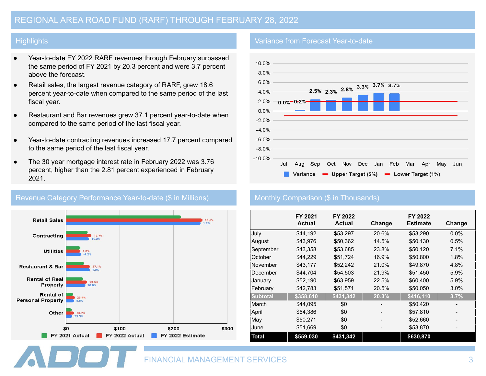## **Highlights**

- Year-to-date FY 2022 RARF revenues through February surpassed the same period of FY 2021 by 20.3 percent and were 3.7 percent above the forecast.
- Retail sales, the largest revenue category of RARF, grew 18.6 percent year-to-date when compared to the same period of the last fiscal year.
- Restaurant and Bar revenues grew 37.1 percent year-to-date when compared to the same period of the last fiscal year.
- Year-to-date contracting revenues increased 17.7 percent compared to the same period of the last fiscal year.
- The 30 year mortgage interest rate in February 2022 was 3.76 percent, higher than the 2.81 percent experienced in February 2021.



## Revenue Category Performance Year-to-date (\$ in Millions) Monthly Comparison (\$ in Thousands)

### Variance from Forecast Year-to-date



|                 | FY 2021<br>Actual | FY 2022<br>Actual | <u>Change</u> | FY 2022<br><b>Estimate</b> | <b>Change</b> |
|-----------------|-------------------|-------------------|---------------|----------------------------|---------------|
| July            | \$44,192          | \$53,297          | 20.6%         | \$53,290                   | $0.0\%$       |
| August          | \$43.976          | \$50,362          | 14.5%         | \$50,130                   | 0.5%          |
| September       | \$43,358          | \$53,685          | 23.8%         | \$50,120                   | 7.1%          |
| October         | \$44,229          | \$51,724          | 16.9%         | \$50,800                   | 1.8%          |
| November        | \$43.177          | \$52,242          | 21.0%         | \$49,870                   | 4.8%          |
| December        | \$44,704          | \$54,503          | 21.9%         | \$51,450                   | 5.9%          |
| January         | \$52,190          | \$63,959          | 22.5%         | \$60,400                   | 5.9%          |
| February        | \$42,783          | \$51,571          | 20.5%         | \$50,050                   | 3.0%          |
| <b>Subtotal</b> | \$358,610         | \$431,342         | 20.3%         | \$416,110                  | 3.7%          |
| March           | \$44,095          | \$0               |               | \$50,420                   |               |
| April           | \$54,386          | \$0               |               | \$57,810                   |               |
| May             | \$50,271          | \$0               |               | \$52,660                   |               |
| June            | \$51,669          | \$0               |               | \$53,870                   |               |
| <b>Total</b>    | \$559,030         | \$431,342         |               | \$630,870                  |               |